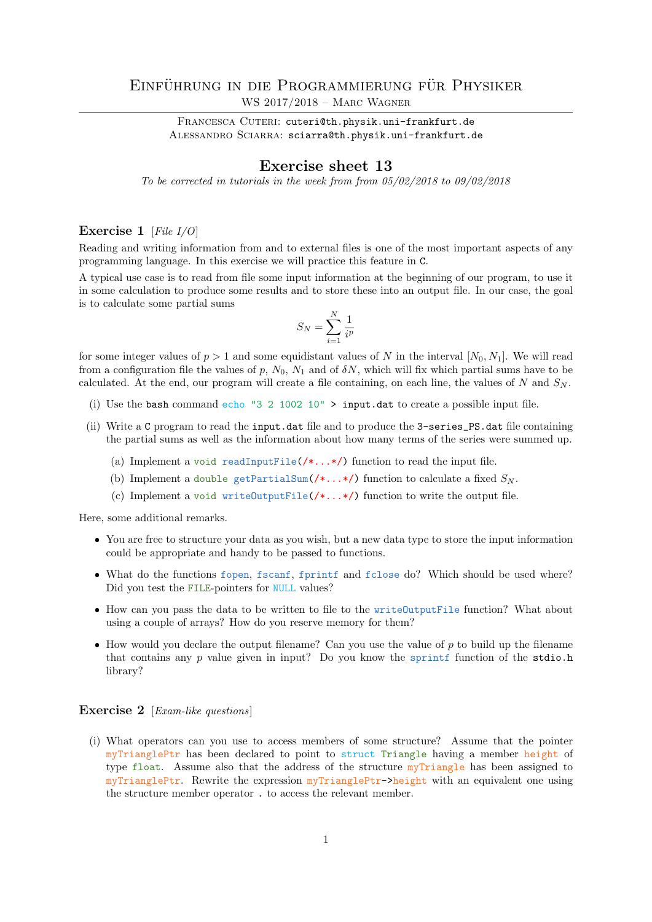## EINFÜHRUNG IN DIE PROGRAMMIERUNG FÜR PHYSIKER WS 2017/2018 – Marc Wagner

FRANCESCA CUTERI: cuteri@th.physik.uni-frankfurt.de ALESSANDRO SCIARRA: sciarra@th.physik.uni-frankfurt.de

## Exercise sheet 13

To be corrected in tutorials in the week from from 05/02/2018 to 09/02/2018

## Exercise 1 [File I/O]

Reading and writing information from and to external files is one of the most important aspects of any programming language. In this exercise we will practice this feature in C.

A typical use case is to read from file some input information at the beginning of our program, to use it in some calculation to produce some results and to store these into an output file. In our case, the goal is to calculate some partial sums

$$
S_N = \sum_{i=1}^N \frac{1}{i^p}
$$

for some integer values of  $p > 1$  and some equidistant values of N in the interval  $[N_0, N_1]$ . We will read from a configuration file the values of p,  $N_0$ ,  $N_1$  and of  $\delta N$ , which will fix which partial sums have to be calculated. At the end, our program will create a file containing, on each line, the values of N and  $S_N$ .

- (i) Use the bash command echo "3 2 1002 10"  $>$  input.dat to create a possible input file.
- (ii) Write a C program to read the input.dat file and to produce the 3-series\_PS.dat file containing the partial sums as well as the information about how many terms of the series were summed up.
	- (a) Implement a void readInputFile( $/\ast$ ...\*/) function to read the input file.
	- (b) Implement a double getPartialSum( $\ell^*$ ...\*/) function to calculate a fixed  $S_N$ .
	- (c) Implement a void writeOutputFile(/\*...\*/) function to write the output file.

Here, some additional remarks.

- You are free to structure your data as you wish, but a new data type to store the input information could be appropriate and handy to be passed to functions.
- What do the functions fopen, fscanf, fprintf and fclose do? Which should be used where? Did you test the FILE-pointers for NULL values?
- How can you pass the data to be written to file to the writeOutputFile function? What about using a couple of arrays? How do you reserve memory for them?
- $\bullet$  How would you declare the output filename? Can you use the value of p to build up the filename that contains any  $p$  value given in input? Do you know the sprintf function of the stdio.h library?

## Exercise 2 [*Exam-like questions*]

(i) What operators can you use to access members of some structure? Assume that the pointer myTrianglePtr has been declared to point to struct Triangle having a member height of type float. Assume also that the address of the structure myTriangle has been assigned to myTrianglePtr. Rewrite the expression myTrianglePtr->height with an equivalent one using the structure member operator . to access the relevant member.